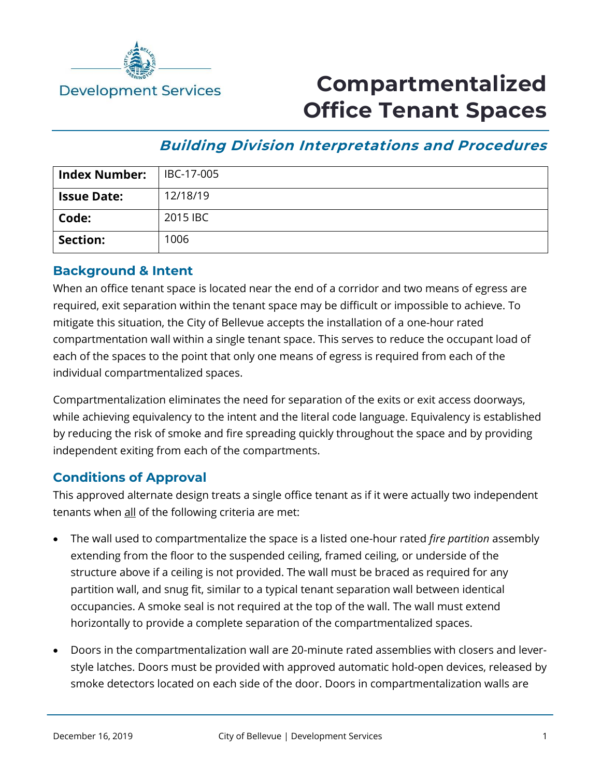

## **Compartmentalized Office Tenant Spaces**

## **Building Division Interpretations and Procedures**

| Index Number:      | IBC-17-005 |
|--------------------|------------|
| <b>Issue Date:</b> | 12/18/19   |
| Code:              | 2015 IBC   |
| <b>Section:</b>    | 1006       |

## **Background & Intent**

When an office tenant space is located near the end of a corridor and two means of egress are required, exit separation within the tenant space may be difficult or impossible to achieve. To mitigate this situation, the City of Bellevue accepts the installation of a one-hour rated compartmentation wall within a single tenant space. This serves to reduce the occupant load of each of the spaces to the point that only one means of egress is required from each of the individual compartmentalized spaces.

Compartmentalization eliminates the need for separation of the exits or exit access doorways, while achieving equivalency to the intent and the literal code language. Equivalency is established by reducing the risk of smoke and fire spreading quickly throughout the space and by providing independent exiting from each of the compartments.

## **Conditions of Approval**

This approved alternate design treats a single office tenant as if it were actually two independent tenants when all of the following criteria are met:

- The wall used to compartmentalize the space is a listed one-hour rated *fire partition* assembly extending from the floor to the suspended ceiling, framed ceiling, or underside of the structure above if a ceiling is not provided. The wall must be braced as required for any partition wall, and snug fit, similar to a typical tenant separation wall between identical occupancies. A smoke seal is not required at the top of the wall. The wall must extend horizontally to provide a complete separation of the compartmentalized spaces.
- Doors in the compartmentalization wall are 20-minute rated assemblies with closers and leverstyle latches. Doors must be provided with approved automatic hold-open devices, released by smoke detectors located on each side of the door. Doors in compartmentalization walls are